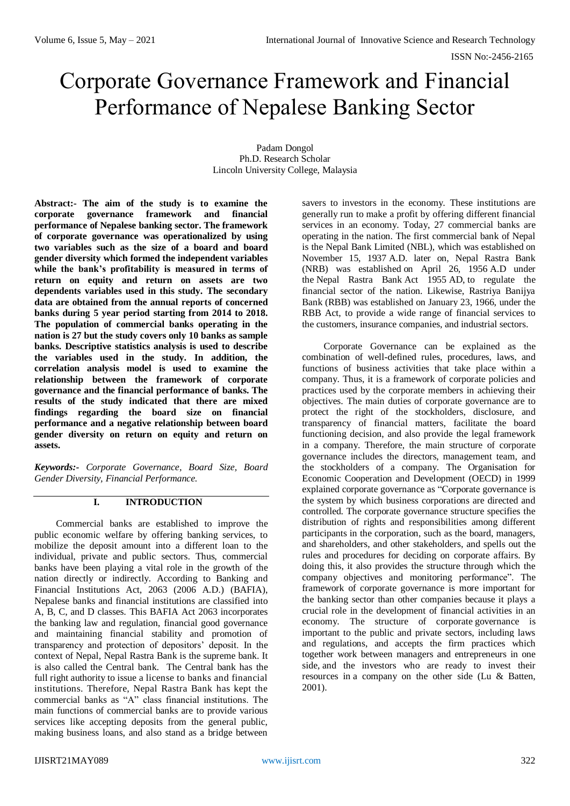# Corporate Governance Framework and Financial Performance of Nepalese Banking Sector

Padam Dongol Ph.D. Research Scholar Lincoln University College, Malaysia

**Abstract:- The aim of the study is to examine the corporate governance framework and financial performance of Nepalese banking sector. The framework of corporate governance was operationalized by using two variables such as the size of a board and board gender diversity which formed the independent variables while the bank's profitability is measured in terms of return on equity and return on assets are two dependents variables used in this study. The secondary data are obtained from the annual reports of concerned banks during 5 year period starting from 2014 to 2018. The population of commercial banks operating in the nation is 27 but the study covers only 10 banks as sample banks. Descriptive statistics analysis is used to describe the variables used in the study. In addition, the correlation analysis model is used to examine the relationship between the framework of corporate governance and the financial performance of banks. The results of the study indicated that there are mixed findings regarding the board size on financial performance and a negative relationship between board gender diversity on return on equity and return on assets.**

*Keywords:- Corporate Governance, Board Size, Board Gender Diversity, Financial Performance.*

# **I. INTRODUCTION**

Commercial banks are established to improve the public economic welfare by offering banking services, to mobilize the deposit amount into a different loan to the individual, private and public sectors. Thus, commercial banks have been playing a vital role in the growth of the nation directly or indirectly. According to Banking and Financial Institutions Act, 2063 (2006 A.D.) (BAFIA), Nepalese banks and financial institutions are classified into A, B, C, and D classes. This BAFIA Act 2063 incorporates the banking law and regulation, financial good governance and maintaining financial stability and promotion of transparency and protection of depositors' deposit. In the context of Nepal, Nepal Rastra Bank is the supreme bank. It is also called the Central bank. The Central bank has the full right authority to issue a license to banks and financial institutions. Therefore, Nepal Rastra Bank has kept the commercial banks as "A" class financial institutions. The main functions of commercial banks are to provide various services like accepting deposits from the general public, making business loans, and also stand as a bridge between

savers to investors in the economy. These institutions are generally run to make a profit by offering different financial services in an economy. Today, 27 commercial banks are operating in the nation. The first commercial bank of Nepal is the Nepal Bank Limited (NBL), which was established on November 15, 1937 A.D. later on, Nepal Rastra Bank (NRB) was established on April 26, 1956 A.D under the Nepal Rastra Bank Act 1955 AD, to regulate the financial sector of the nation. Likewise, Rastriya Banijya Bank (RBB) was established on January 23, 1966, under the RBB Act, to provide a wide range of financial services to the customers, insurance companies, and industrial sectors.

Corporate Governance can be explained as the combination of well-defined rules, procedures, laws, and functions of business activities that take place within a company. Thus, it is a framework of corporate policies and practices used by the corporate members in achieving their objectives. The main duties of corporate governance are to protect the right of the stockholders, disclosure, and transparency of financial matters, facilitate the board functioning decision, and also provide the legal framework in a company. Therefore, the main structure of corporate governance includes the directors, management team, and the stockholders of a company. The Organisation for Economic Cooperation and Development (OECD) in 1999 explained corporate governance as "Corporate governance is the system by which business corporations are directed and controlled. The corporate governance structure specifies the distribution of rights and responsibilities among different participants in the corporation, such as the board, managers, and shareholders, and other stakeholders, and spells out the rules and procedures for deciding on corporate affairs. By doing this, it also provides the structure through which the company objectives and monitoring performance". The framework of corporate governance is more important for the banking sector than other companies because it plays a crucial role in the development of financial activities in an economy. The structure of corporate governance is important to the public and private sectors, including laws and regulations, and accepts the firm practices which together work between managers and entrepreneurs in one side, and the investors who are ready to invest their resources in a company on the other side (Lu & Batten, 2001).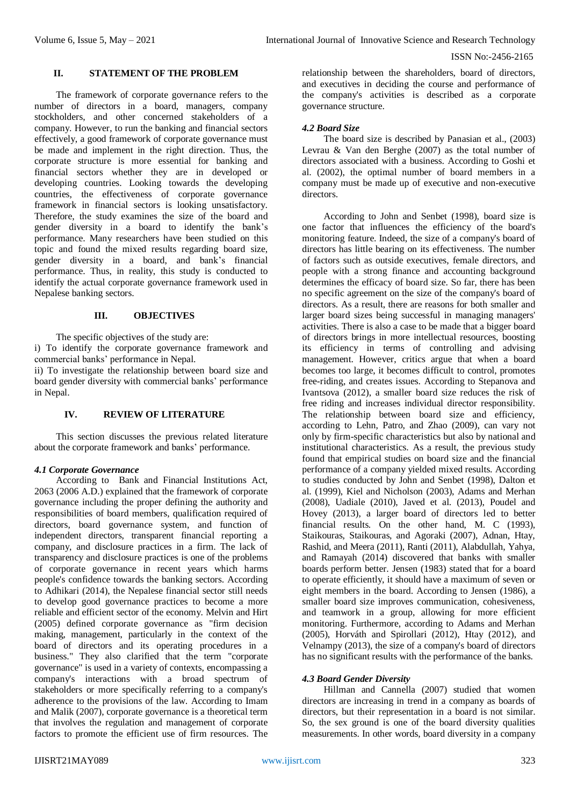#### **II. STATEMENT OF THE PROBLEM**

The framework of corporate governance refers to the number of directors in a board, managers, company stockholders, and other concerned stakeholders of a company. However, to run the banking and financial sectors effectively, a good framework of corporate governance must be made and implement in the right direction. Thus, the corporate structure is more essential for banking and financial sectors whether they are in developed or developing countries. Looking towards the developing countries, the effectiveness of corporate governance framework in financial sectors is looking unsatisfactory. Therefore, the study examines the size of the board and gender diversity in a board to identify the bank's performance. Many researchers have been studied on this topic and found the mixed results regarding board size, gender diversity in a board, and bank's financial performance. Thus, in reality, this study is conducted to identify the actual corporate governance framework used in Nepalese banking sectors.

### **III. OBJECTIVES**

The specific objectives of the study are:

i) To identify the corporate governance framework and commercial banks' performance in Nepal.

ii) To investigate the relationship between board size and board gender diversity with commercial banks' performance in Nepal.

# **IV. REVIEW OF LITERATURE**

This section discusses the previous related literature about the corporate framework and banks' performance.

#### *4.1 Corporate Governance*

According to Bank and Financial Institutions Act, 2063 (2006 A.D.) explained that the framework of corporate governance including the proper defining the authority and responsibilities of board members, qualification required of directors, board governance system, and function of independent directors, transparent financial reporting a company, and disclosure practices in a firm. The lack of transparency and disclosure practices is one of the problems of corporate governance in recent years which harms people's confidence towards the banking sectors. According to Adhikari (2014), the Nepalese financial sector still needs to develop good governance practices to become a more reliable and efficient sector of the economy. Melvin and Hirt (2005) defined corporate governance as "firm decision making, management, particularly in the context of the board of directors and its operating procedures in a business." They also clarified that the term "corporate governance" is used in a variety of contexts, encompassing a company's interactions with a broad spectrum of stakeholders or more specifically referring to a company's adherence to the provisions of the law. According to Imam and Malik (2007), corporate governance is a theoretical term that involves the regulation and management of corporate factors to promote the efficient use of firm resources. The

relationship between the shareholders, board of directors, and executives in deciding the course and performance of the company's activities is described as a corporate governance structure.

### *4.2 Board Size*

The board size is described by Panasian et al., (2003) Levrau & Van den Berghe (2007) as the total number of directors associated with a business. According to Goshi et al. (2002), the optimal number of board members in a company must be made up of executive and non-executive directors.

According to John and Senbet (1998), board size is one factor that influences the efficiency of the board's monitoring feature. Indeed, the size of a company's board of directors has little bearing on its effectiveness. The number of factors such as outside executives, female directors, and people with a strong finance and accounting background determines the efficacy of board size. So far, there has been no specific agreement on the size of the company's board of directors. As a result, there are reasons for both smaller and larger board sizes being successful in managing managers' activities. There is also a case to be made that a bigger board of directors brings in more intellectual resources, boosting its efficiency in terms of controlling and advising management. However, critics argue that when a board becomes too large, it becomes difficult to control, promotes free-riding, and creates issues. According to Stepanova and Ivantsova (2012), a smaller board size reduces the risk of free riding and increases individual director responsibility. The relationship between board size and efficiency, according to Lehn, Patro, and Zhao (2009), can vary not only by firm-specific characteristics but also by national and institutional characteristics. As a result, the previous study found that empirical studies on board size and the financial performance of a company yielded mixed results. According to studies conducted by John and Senbet (1998), Dalton et al. (1999), Kiel and Nicholson (2003), Adams and Merhan (2008), Uadiale (2010), Javed et al. (2013), Poudel and Hovey (2013), a larger board of directors led to better financial results. On the other hand, M. C (1993), Staikouras, Staikouras, and Agoraki (2007), Adnan, Htay, Rashid, and Meera (2011), Ranti (2011), Alabdullah, Yahya, and Ramayah (2014) discovered that banks with smaller boards perform better. Jensen (1983) stated that for a board to operate efficiently, it should have a maximum of seven or eight members in the board. According to Jensen (1986), a smaller board size improves communication, cohesiveness, and teamwork in a group, allowing for more efficient monitoring. Furthermore, according to Adams and Merhan (2005), Horváth and Spirollari (2012), Htay (2012), and Velnampy (2013), the size of a company's board of directors has no significant results with the performance of the banks.

## *4.3 Board Gender Diversity*

Hillman and Cannella (2007) studied that women directors are increasing in trend in a company as boards of directors, but their representation in a board is not similar. So, the sex ground is one of the board diversity qualities measurements. In other words, board diversity in a company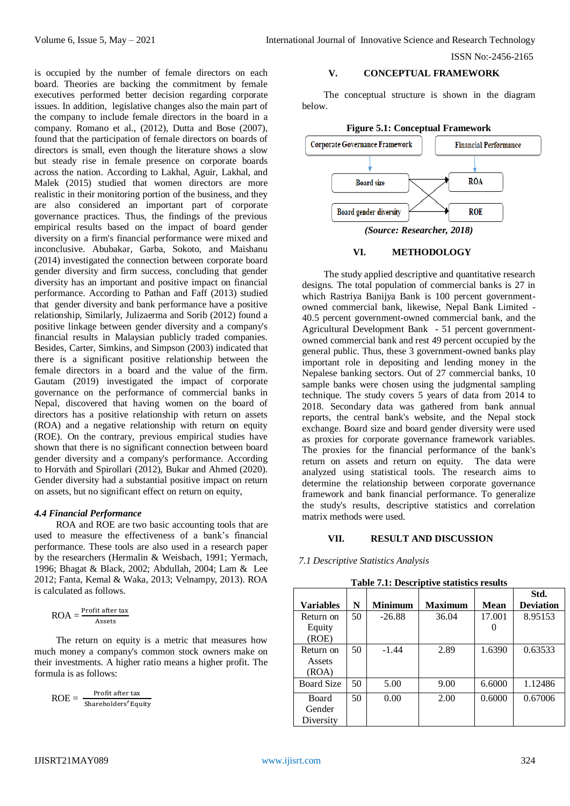is occupied by the number of female directors on each board. Theories are backing the commitment by female executives performed better decision regarding corporate issues. In addition, legislative changes also the main part of the company to include female directors in the board in a company. Romano et al., (2012), Dutta and Bose (2007), found that the participation of female directors on boards of directors is small, even though the literature shows a slow but steady rise in female presence on corporate boards across the nation. According to Lakhal, Aguir, Lakhal, and Malek (2015) studied that women directors are more realistic in their monitoring portion of the business, and they are also considered an important part of corporate governance practices. Thus, the findings of the previous empirical results based on the impact of board gender diversity on a firm's financial performance were mixed and inconclusive. Abubakar, Garba, Sokoto, and Maishanu (2014) investigated the connection between corporate board gender diversity and firm success, concluding that gender diversity has an important and positive impact on financial performance. According to Pathan and Faff (2013) studied that gender diversity and bank performance have a positive relationship, Similarly, Julizaerma and Sorib (2012) found a positive linkage between gender diversity and a company's financial results in Malaysian publicly traded companies. Besides, Carter, Simkins, and Simpson (2003) indicated that there is a significant positive relationship between the female directors in a board and the value of the firm. Gautam (2019) investigated the impact of corporate governance on the performance of commercial banks in Nepal, discovered that having women on the board of directors has a positive relationship with return on assets (ROA) and a negative relationship with return on equity (ROE). On the contrary, previous empirical studies have shown that there is no significant connection between board gender diversity and a company's performance. According to Horváth and Spirollari (2012), Bukar and Ahmed (2020). Gender diversity had a substantial positive impact on return on assets, but no significant effect on return on equity,

### *4.4 Financial Performance*

ROA and ROE are two basic accounting tools that are used to measure the effectiveness of a bank's financial performance. These tools are also used in a research paper by the researchers (Hermalin & Weisbach, 1991; Yermach, 1996; Bhagat & Black, 2002; Abdullah, 2004; Lam & Lee 2012; Fanta, Kemal & Waka, 2013; Velnampy, 2013). ROA is calculated as follows.

$$
ROA = \frac{Profit \, after \, tax}{Assets}
$$

The return on equity is a metric that measures how much money a company's common stock owners make on their investments. A higher ratio means a higher profit. The formula is as follows:

$$
ROE = \frac{Profit \, after \, tax}{Shareholders' Equity}
$$

#### **V. CONCEPTUAL FRAMEWORK**

The conceptual structure is shown in the diagram below.



#### **VI. METHODOLOGY**

The study applied descriptive and quantitative research designs. The total population of commercial banks is 27 in which Rastriya Banijya Bank is 100 percent governmentowned commercial bank, likewise, Nepal Bank Limited - 40.5 percent government-owned commercial bank, and the Agricultural Development Bank - 51 percent governmentowned commercial bank and rest 49 percent occupied by the general public. Thus, these 3 government-owned banks play important role in depositing and lending money in the Nepalese banking sectors. Out of 27 commercial banks, 10 sample banks were chosen using the judgmental sampling technique. The study covers 5 years of data from 2014 to 2018. Secondary data was gathered from bank annual reports, the central bank's website, and the Nepal stock exchange. Board size and board gender diversity were used as proxies for corporate governance framework variables. The proxies for the financial performance of the bank's return on assets and return on equity. The data were analyzed using statistical tools. The research aims to determine the relationship between corporate governance framework and bank financial performance. To generalize the study's results, descriptive statistics and correlation matrix methods were used.

## **VII. RESULT AND DISCUSSION**

## *7.1 Descriptive Statistics Analysis*

|  | Table 7.1: Descriptive statistics results |  |  |
|--|-------------------------------------------|--|--|
|--|-------------------------------------------|--|--|

|                   |    |                |                |             | Std.             |
|-------------------|----|----------------|----------------|-------------|------------------|
| <b>Variables</b>  | N  | <b>Minimum</b> | <b>Maximum</b> | <b>Mean</b> | <b>Deviation</b> |
| Return on         | 50 | $-26.88$       | 36.04          | 17.001      | 8.95153          |
| Equity            |    |                |                |             |                  |
| (ROE)             |    |                |                |             |                  |
| Return on         | 50 | $-1.44$        | 2.89           | 1.6390      | 0.63533          |
| Assets            |    |                |                |             |                  |
| (ROA)             |    |                |                |             |                  |
| <b>Board Size</b> | 50 | 5.00           | 9.00           | 6.6000      | 1.12486          |
| <b>Board</b>      | 50 | 0.00           | 2.00           | 0.6000      | 0.67006          |
| Gender            |    |                |                |             |                  |
| Diversity         |    |                |                |             |                  |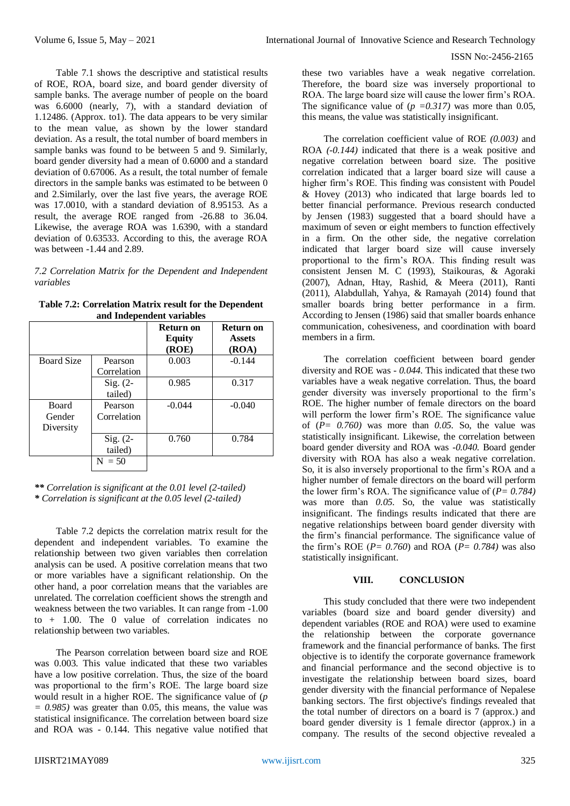Table 7.1 shows the descriptive and statistical results of ROE, ROA, board size, and board gender diversity of sample banks. The average number of people on the board was 6.6000 (nearly, 7), with a standard deviation of 1.12486. (Approx. to1). The data appears to be very similar to the mean value, as shown by the lower standard deviation. As a result, the total number of board members in sample banks was found to be between 5 and 9. Similarly, board gender diversity had a mean of 0.6000 and a standard deviation of 0.67006. As a result, the total number of female directors in the sample banks was estimated to be between 0 and 2.Similarly, over the last five years, the average ROE was 17.0010, with a standard deviation of 8.95153. As a result, the average ROE ranged from -26.88 to 36.04. Likewise, the average ROA was 1.6390, with a standard deviation of 0.63533. According to this, the average ROA was between -1.44 and 2.89.

*7.2 Correlation Matrix for the Dependent and Independent variables*

**Table 7.2: Correlation Matrix result for the Dependent and Independent variables**

|                   |              | <b>Return on</b><br><b>Equity</b><br>(ROE) | Return on<br><b>Assets</b><br>(ROA) |
|-------------------|--------------|--------------------------------------------|-------------------------------------|
| <b>Board Size</b> | Pearson      | 0.003                                      | $-0.144$                            |
|                   | Correlation  |                                            |                                     |
|                   | $Sig. (2-$   | 0.985                                      | 0.317                               |
|                   | tailed)      |                                            |                                     |
| <b>Board</b>      | Pearson      | $-0.044$                                   | $-0.040$                            |
| Gender            | Correlation  |                                            |                                     |
| Diversity         |              |                                            |                                     |
|                   | $Sig. (2-$   | 0.760                                      | 0.784                               |
|                   | tailed)      |                                            |                                     |
|                   | $= 50$<br>N. |                                            |                                     |

*\*\* Correlation is significant at the 0.01 level (2-tailed) \* Correlation is significant at the 0.05 level (2-tailed)*

Table 7.2 depicts the correlation matrix result for the dependent and independent variables. To examine the relationship between two given variables then correlation analysis can be used. A positive correlation means that two or more variables have a significant relationship. On the other hand, a poor correlation means that the variables are unrelated. The correlation coefficient shows the strength and weakness between the two variables. It can range from -1.00 to + 1.00. The 0 value of correlation indicates no relationship between two variables.

The Pearson correlation between board size and ROE was 0.003. This value indicated that these two variables have a low positive correlation. Thus, the size of the board was proportional to the firm's ROE. The large board size would result in a higher ROE. The significance value of (*p*   $= 0.985$ ) was greater than 0.05, this means, the value was statistical insignificance. The correlation between board size and ROA was - 0.144. This negative value notified that

these two variables have a weak negative correlation. Therefore, the board size was inversely proportional to ROA. The large board size will cause the lower firm's ROA. The significance value of  $(p = 0.317)$  was more than 0.05, this means, the value was statistically insignificant.

The correlation coefficient value of ROE *(0.003)* and ROA *(-0.144)* indicated that there is a weak positive and negative correlation between board size. The positive correlation indicated that a larger board size will cause a higher firm's ROE. This finding was consistent with Poudel & Hovey (2013) who indicated that large boards led to better financial performance. Previous research conducted by Jensen (1983) suggested that a board should have a maximum of seven or eight members to function effectively in a firm. On the other side, the negative correlation indicated that larger board size will cause inversely proportional to the firm's ROA. This finding result was consistent Jensen M. C (1993), Staikouras, & Agoraki (2007), Adnan, Htay, Rashid, & Meera (2011), Ranti (2011), Alabdullah, Yahya, & Ramayah (2014) found that smaller boards bring better performance in a firm. According to Jensen (1986) said that smaller boards enhance communication, cohesiveness, and coordination with board members in a firm.

The correlation coefficient between board gender diversity and ROE was *- 0.044.* This indicated that these two variables have a weak negative correlation. Thus, the board gender diversity was inversely proportional to the firm's ROE. The higher number of female directors on the board will perform the lower firm's ROE. The significance value of  $(P= 0.760)$  was more than 0.05. So, the value was statistically insignificant. Likewise, the correlation between board gender diversity and ROA was *-0.040.* Board gender diversity with ROA has also a weak negative correlation. So, it is also inversely proportional to the firm's ROA and a higher number of female directors on the board will perform the lower firm's ROA. The significance value of (*P= 0.784)* was more than *0.05.* So, the value was statistically insignificant. The findings results indicated that there are negative relationships between board gender diversity with the firm's financial performance. The significance value of the firm's ROE (*P= 0.760*) and ROA (*P= 0.784)* was also statistically insignificant.

### **VIII. CONCLUSION**

This study concluded that there were two independent variables (board size and board gender diversity) and dependent variables (ROE and ROA) were used to examine the relationship between the corporate governance framework and the financial performance of banks. The first objective is to identify the corporate governance framework and financial performance and the second objective is to investigate the relationship between board sizes, board gender diversity with the financial performance of Nepalese banking sectors. The first objective's findings revealed that the total number of directors on a board is 7 (approx.) and board gender diversity is 1 female director (approx.) in a company. The results of the second objective revealed a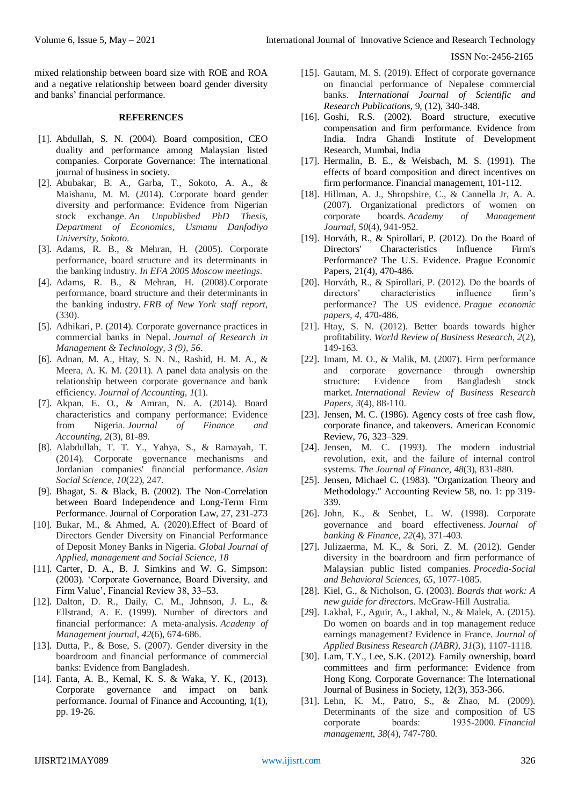mixed relationship between board size with ROE and ROA and a negative relationship between board gender diversity and banks' financial performance.

#### **REFERENCES**

- [1]. Abdullah, S. N. (2004). Board composition, CEO duality and performance among Malaysian listed companies. Corporate Governance: The international journal of business in society.
- [2]. Abubakar, B. A., Garba, T., Sokoto, A. A., & Maishanu, M. M. (2014). Corporate board gender diversity and performance: Evidence from Nigerian stock exchange. *An Unpublished PhD Thesis, Department of Economics, Usmanu Danfodiyo University, Sokoto*.
- [3]. Adams, R. B., & Mehran, H. (2005). Corporate performance, board structure and its determinants in the banking industry. *In EFA 2005 Moscow meetings*.
- [4]. Adams, R. B., & Mehran, H. (2008).Corporate performance, board structure and their determinants in the banking industry. *FRB of New York staff report*, (330).
- [5]. Adhikari, P. (2014). Corporate governance practices in commercial banks in Nepal. *Journal of Research in Management & Technology, 3 (9)*, *56*.
- [6]. Adnan, M. A., Htay, S. N. N., Rashid, H. M. A., & Meera, A. K. M. (2011). A panel data analysis on the relationship between corporate governance and bank efficiency. *Journal of Accounting*, *1*(1).
- [7]. Akpan, E. O., & Amran, N. A. (2014). Board characteristics and company performance: Evidence from Nigeria. *Journal of Finance and Accounting*, *2*(3), 81-89.
- [8]. Alabdullah, T. T. Y., Yahya, S., & Ramayah, T. (2014). Corporate governance mechanisms and Jordanian companies' financial performance. *Asian Social Science*, *10*(22), 247.
- [9]. Bhagat, S. & Black, B. (2002). The Non-Correlation between Board Independence and Long-Term Firm Performance. Journal of Corporation Law, 27, 231-273
- [10]. Bukar, M., & Ahmed, A. (2020).Effect of Board of Directors Gender Diversity on Financial Performance of Deposit Money Banks in Nigeria. *Global Journal of Applied, management and Social Science, 18*
- [11]. Carter, D. A., B. J. Simkins and W. G. Simpson: (2003). 'Corporate Governance, Board Diversity, and Firm Value', Financial Review 38, 33–53.
- [12]. Dalton, D. R., Daily, C. M., Johnson, J. L., & Ellstrand, A. E. (1999). Number of directors and financial performance: A meta-analysis. *Academy of Management journal*, *42*(6), 674-686.
- [13]. Dutta, P., & Bose, S. (2007). Gender diversity in the boardroom and financial performance of commercial banks: Evidence from Bangladesh.
- [14]. Fanta, A. B., Kemal, K. S. & Waka, Y. K., (2013). Corporate governance and impact on bank performance. Journal of Finance and Accounting, 1(1), pp. 19-26.
- [15]. Gautam, M. S. (2019). Effect of corporate governance on financial performance of Nepalese commercial banks. *International Journal of Scientific and Research Publications*, 9, (12), 340-348.
- [16]. Goshi, R.S. (2002). Board structure, executive compensation and firm performance. Evidence from India. Indra Ghandi Institute of Development Research, Mumbai, India
- [17]. Hermalin, B. E., & Weisbach, M. S. (1991). The effects of board composition and direct incentives on firm performance. Financial management, 101-112.
- [18]. Hillman, A. J., Shropshire, C., & Cannella Jr, A. A. (2007). Organizational predictors of women on corporate boards. *Academy of Management Journal*, *50*(4), 941-952.
- [19]. Horváth, R., & Spirollari, P. (2012). Do the Board of Directors' Characteristics Influence Firm's Performance? The U.S. Evidence. Prague Economic Papers, 21(4), 470-486.
- [20]. Horváth, R., & Spirollari, P. (2012). Do the boards of directors' characteristics influence firm's performance? The US evidence. *Prague economic papers*, *4*, 470-486.
- [21]. Htay, S. N. (2012). Better boards towards higher profitability. *World Review of Business Research*, *2*(2), 149-163.
- [22]. Imam, M. O., & Malik, M. (2007). Firm performance and corporate governance through ownership structure: Evidence from Bangladesh stock market. *International Review of Business Research Papers*, *3*(4), 88-110.
- [23]. Jensen, M. C. (1986). Agency costs of free cash flow, corporate finance, and takeovers. American Economic Review, 76, 323–329.
- [24]. Jensen, M. C. (1993). The modern industrial revolution, exit, and the failure of internal control systems. *The Journal of Finance*, *48*(3), 831-880.
- [25]. Jensen, Michael C. (1983). "Organization Theory and Methodology." Accounting Review 58, no. 1: pp 319- 339.
- [26]. John, K., & Senbet, L. W. (1998). Corporate governance and board effectiveness. *Journal of banking & Finance*, *22*(4), 371-403.
- [27]. Julizaerma, M. K., & Sori, Z. M. (2012). Gender diversity in the boardroom and firm performance of Malaysian public listed companies. *Procedia-Social and Behavioral Sciences*, *65*, 1077-1085.
- [28]. Kiel, G., & Nicholson, G. (2003). *Boards that work: A new guide for directors*. McGraw-Hill Australia.
- [29]. Lakhal, F., Aguir, A., Lakhal, N., & Malek, A. (2015). Do women on boards and in top management reduce earnings management? Evidence in France. *Journal of Applied Business Research (JABR)*, *31*(3), 1107-1118.
- [30]. Lam, T.Y., Lee, S.K. (2012). Family ownership, board committees and firm performance: Evidence from Hong Kong. Corporate Governance: The International Journal of Business in Society, 12(3), 353-366.
- [31]. Lehn, K. M., Patro, S., & Zhao, M. (2009). Determinants of the size and composition of US corporate boards: 1935‐2000. *Financial management*, *38*(4), 747-780.